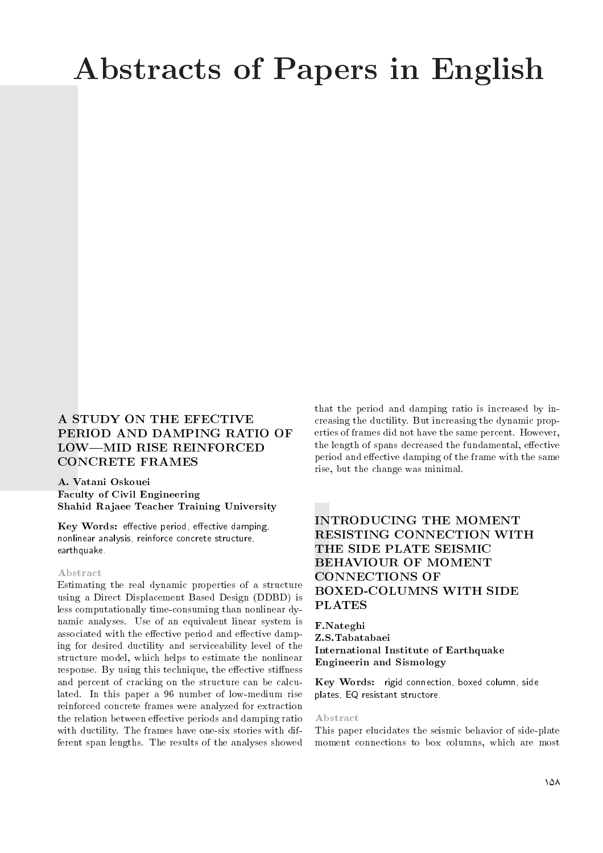# Abstracts of Papers in English

# A STUDY ON THE EFECTIVE PERIOD AND DAMPING RATIO OF LOW-MID RISE REINFORCED CONCRETE FRAMES

#### A. Vatani Oskouei Faculty of Civil Engineering Shahid Rajaee Teacher Training University

Key Words: effective period, effective damping, nonlinear analysis, reinforce concrete structure, earthquake.

#### Abstract

Estimating the real dynamic properties of a structure using a Direct Displacement Based Design (DDBD) is less computationally time-consuming than nonlinear dynamic analyses. Use of an equivalent linear system is associated with the effective period and effective damping for desired ductility and serviceability level of the structure model, which helps to estimate the nonlinear response. By using this technique, the effective stiffness and percent of cracking on the structure can be calculated. In this paper a 96 number of low-medium rise reinforced concrete frames were analyzed for extraction the relation between effective periods and damping ratio with ductility. The frames have one-six stories with different span lengths. The results of the analyses showed that the period and damping ratio is increased by increasing the ductility. But increasing the dynamic properties of frames did not have the same percent. However, the length of spans decreased the fundamental, effective period and effective damping of the frame with the same rise, but the change was minimal.

# INTRODUCING THE MOMENT RESISTING CONNECTION WITH THE SIDE PLATE SEISMIC BEHAVIOUR OF MOMENT CONNECTIONS OF BOXED-COLUMNS WITH SIDE PLATES

F.Nateghi Z.S.Tabatabaei International Institute of Earthquake Engineerin and Sismology

Key Words: rigid connection, boxed column, side plates, EQ resistant structore.

#### Abstract

This paper elucidates the seismic behavior of side-plate moment connections to box columns, which are most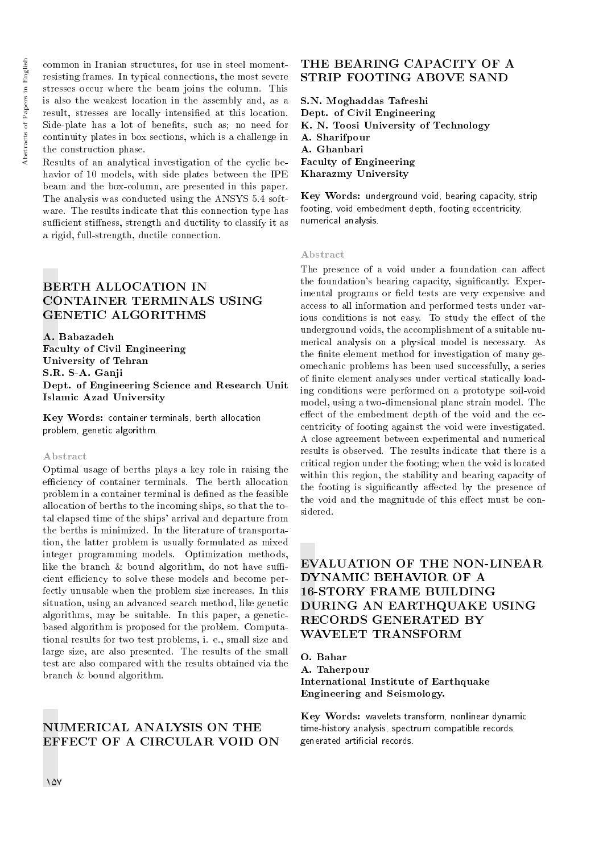common in Iranian structures, for use in steel momentresisting frames. In typical connections, the most severe stresses occur where the beam joins the column. This is also the weakest location in the assembly and, as a result, stresses are locally intensied at this location. Side-plate has a lot of benefits, such as; no need for continuity plates in box sections, which is a challenge in the construction phase.

Results of an analytical investigation of the cyclic behavior of 10 models, with side plates between the IPE beam and the box-column, are presented in this paper. The analysis was conducted using the ANSYS 5.4 software. The results indicate that this connection type has sufficient stiffness, strength and ductility to classify it as a rigid, full-strength, ductile connection.

# BERTH ALLOCATION IN CONTAINER TERMINALS USING GENETIC ALGORITHMS

A. Babazadeh Faculty of Civil Engineering University of Tehran S.R. S-A. Ganji Dept. of Engineering Science and Research Unit Islamic Azad University

Key Words: container terminals, berth allocation problem, genetic algorithm.

#### Abstract

Optimal usage of berths plays a key role in raising the efficiency of container terminals. The berth allocation problem in a container terminal is defined as the feasible allocation of berths to the incoming ships, so that the total elapsed time of the ships' arrival and departure from the berths is minimized. In the literature of transportation, the latter problem is usually formulated as mixed integer programming models. Optimization methods, like the branch  $&$  bound algorithm, do not have sufficient efficiency to solve these models and become perfectly unusable when the problem size increases. In this situation, using an advanced search method, like genetic algorithms, may be suitable. In this paper, a geneticbased algorithm is proposed for the problem. Computational results for two test problems, i. e., small size and large size, are also presented. The results of the small test are also compared with the results obtained via the branch & bound algorithm.

### NUMERICAL ANALYSIS ON THE EFFECT OF A CIRCULAR VOID ON

# THE BEARING CAPACITY OF A STRIP FOOTING ABOVE SAND

S.N. Moghaddas Tafreshi Dept. of Civil Engineering K. N. Toosi University of Technology A. Sharifpour A. Ghanbari Faculty of Engineering Kharazmy University

Key Words: underground void, bearing capacity, strip footing, void embedment depth, footing eccentricity, numerical analysis.

#### Abstract

The presence of a void under a foundation can affect the foundation's bearing capacity, signicantly. Experimental programs or field tests are very expensive and access to all information and performed tests under various conditions is not easy. To study the effect of the underground voids, the accomplishment of a suitable numerical analysis on a physical model is necessary. As the finite element method for investigation of many geomechanic problems has been used successfully, a series of finite element analyses under vertical statically loading conditions were performed on a prototype soil-void model, using a two-dimensional plane strain model. The effect of the embedment depth of the void and the eccentricity of footing against the void were investigated. A close agreement between experimental and numerical results is observed. The results indicate that there is a critical region under the footing; when the void is located within this region, the stability and bearing capacity of the footing is significantly affected by the presence of the void and the magnitude of this effect must be considered.

# EVALUATION OF THE NON-LINEAR DYNAMIC BEHAVIOR OF A 16-STORY FRAME BUILDING DURING AN EARTHQUAKE USING RECORDS GENERATED BY WAVELET TRANSFORM

O. Bahar A. Taherpour International Institute of Earthquake Engineering and Seismology.

Key Words: wavelets transform, nonlinear dynamic time-history analysis, spectrum compatible records, generated articial records.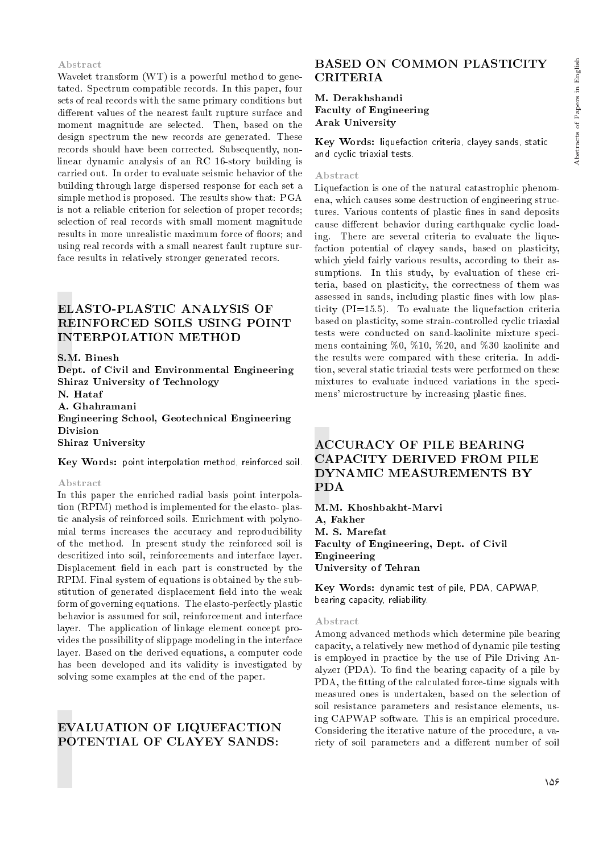# Abstracts of Papers in English Abstracts of Papers in English

#### Abstract

Wavelet transform (WT) is a powerful method to genetated. Spectrum compatible records. In this paper, four sets of real records with the same primary conditions but different values of the nearest fault rupture surface and moment magnitude are selected. Then, based on the design spectrum the new records are generated. These records should have been corrected. Subsequently, nonlinear dynamic analysis of an RC 16-story building is carried out. In order to evaluate seismic behavior of the building through large dispersed response for each set a simple method is proposed. The results show that: PGA is not a reliable criterion for selection of proper records; selection of real records with small moment magnitude results in more unrealistic maximum force of floors; and using real records with a small nearest fault rupture surface results in relatively stronger generated recors.

# ELASTO-PLASTIC ANALYSIS OF REINFORCED SOILS USING POINT INTERPOLATION METHOD

S.M. Binesh Dept. of Civil and Environmental Engineering Shiraz University of Technology N. Hataf A. Ghahramani Engineering School, Geotechnical Engineering Division Shiraz University

#### Key Words: point interpolation method, reinforced soil.

#### Abstract

In this paper the enriched radial basis point interpolation (RPIM) method is implemented for the elasto- plastic analysis of reinforced soils. Enrichment with polynomial terms increases the accuracy and reproducibility of the method. In present study the reinforced soil is descritized into soil, reinforcements and interface layer. Displacement field in each part is constructed by the RPIM. Final system of equations is obtained by the substitution of generated displacement field into the weak form of governing equations. The elasto-perfectly plastic behavior is assumed for soil, reinforcement and interface layer. The application of linkage element concept provides the possibility of slippage modeling in the interface layer. Based on the derived equations, a computer code has been developed and its validity is investigated by solving some examples at the end of the paper.

### EVALUATION OF LIQUEFACTION POTENTIAL OF CLAYEY SANDS:

# BASED ON COMMON PLASTICITY CRITERIA

M. Derakhshandi Faculty of Engineering Arak University

Key Words: liquefaction criteria, clayey sands, static and cyclic triaxial tests.

#### Abstract

Liquefaction is one of the natural catastrophic phenomena, which causes some destruction of engineering structures. Various contents of plastic fines in sand deposits cause different behavior during earthquake cyclic loading. There are several criteria to evaluate the liquefaction potential of clayey sands, based on plasticity, which yield fairly various results, according to their assumptions. In this study, by evaluation of these criteria, based on plasticity, the correctness of them was assessed in sands, including plastic fines with low plasticity (PI=15.5). To evaluate the liquefaction criteria based on plasticity, some strain-controlled cyclic triaxial tests were conducted on sand-kaolinite mixture specimens containing %0, %10, %20, and %30 kaolinite and the results were compared with these criteria. In addition, several static triaxial tests were performed on these mixtures to evaluate induced variations in the specimens' microstructure by increasing plastic fines.

# ACCURACY OF PILE BEARING CAPACITY DERIVED FROM PILE DYNAMIC MEASUREMENTS BY PDA

M.M. Khoshbakht-Marvi A, Fakher M. S. Marefat Faculty of Engineering, Dept. of Civil Engineering University of Tehran

Key Words: dynamic test of pile, PDA, CAPWAP, bearing capacity, reliability.

#### Abstract

Among advanced methods which determine pile bearing capacity, a relatively new method of dynamic pile testing is employed in practice by the use of Pile Driving Analyzer (PDA). To find the bearing capacity of a pile by PDA, the fitting of the calculated force-time signals with measured ones is undertaken, based on the selection of soil resistance parameters and resistance elements, using CAPWAP software. This is an empirical procedure. Considering the iterative nature of the procedure, a variety of soil parameters and a different number of soil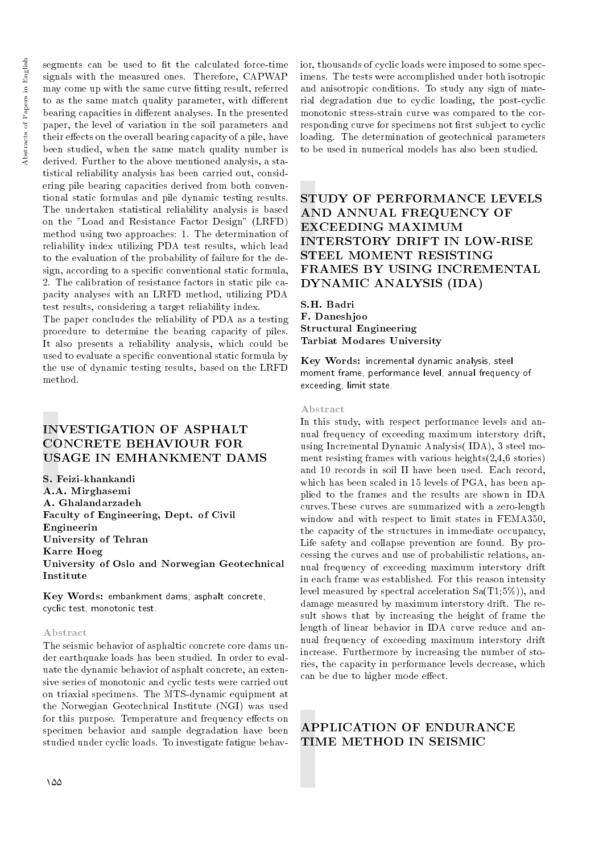segments can be used to fit the calculated force-time signals with the measured ones. Therefore, CAPWAP may come up with the same curve fitting result, referred to as the same match quality parameter, with different bearing capacities in different analyses. In the presented paper, the level of variation in the soil parameters and their effects on the overall bearing capacity of a pile, have been studied, when the same match quality number is derived. Further to the above mentioned analysis, a statistical reliability analysis has been carried out, considering pile bearing capacities derived from both conventional static formulas and pile dynamic testing results. The undertaken statistical reliability analysis is based on the "Load and Resistance Factor Design" (LRFD) method using two approaches: 1. The determination of reliability index utilizing PDA test results, which lead to the evaluation of the probability of failure for the design, according to a specific conventional static formula, 2. The calibration of resistance factors in static pile capacity analyses with an LRFD method, utilizing PDA test results, considering a target reliability index.

The paper concludes the reliability of PDA as a testing procedure to determine the bearing capacity of piles. It also presents a reliability analysis, which could be used to evaluate a specific conventional static formula by the use of dynamic testing results, based on the LRFD method.

# INVESTIGATION OF ASPHALT CONCRETE BEHAVIOUR FOR USAGE IN EMHANKMENT DAMS

S. Feizi-khankandi A.A. Mirghasemi A. Ghalandarzadeh Faculty of Engineering, Dept. of Civil Engineerin University of Tehran Karre Hoeg University of Oslo and Norwegian Geotechnical Institute

Key Words: embankment dams, asphalt concrete, cyclic test, monotonic test.

#### Abstract

The seismic behavior of asphaltic concrete core dams under earthquake loads has been studied. In order to evaluate the dynamic behavior of asphalt concrete, an extensive series of monotonic and cyclic tests were carried out on triaxial specimens. The MTS-dynamic equipment at the Norwegian Geotechnical Institute (NGI) was used for this purpose. Temperature and frequency effects on specimen behavior and sample degradation have been studied under cyclic loads. To investigate fatigue behavior, thousands of cyclic loads were imposed to some specimens. The tests were accomplished under both isotropic and anisotropic conditions. To study any sign of material degradation due to cyclic loading, the post-cyclic monotonic stress-strain curve was compared to the corresponding curve for specimens not first subject to cyclic loading. The determination of geotechnical parameters to be used in numerical models has also been studied.

# STUDY OF PERFORMANCE LEVELS AND ANNUAL FREQUENCY OF EXCEEDING MAXIMUM INTERSTORY DRIFT IN LOW-RISE STEEL MOMENT RESISTING FRAMES BY USING INCREMENTAL DYNAMIC ANALYSIS (IDA)

S.H. Badri F. Daneshjoo Structural Engineering Tarbiat Modares University

Key Words: incremental dynamic analysis, steel moment frame, performance level, annual frequency of exceeding, limit state.

#### Abstract

In this study, with respect performance levels and annual frequency of exceeding maximum interstory drift, using Incremental Dynamic Analysis( IDA), 3 steel moment resisting frames with various heights(2,4,6 stories) and 10 records in soil II have been used. Each record, which has been scaled in 15 levels of PGA, has been applied to the frames and the results are shown in IDA curves.These curves are summarized with a zero-length window and with respect to limit states in FEMA350, the capacity of the structures in immediate occupancy, Life safety and collapse prevention are found. By processing the curves and use of probabilistic relations, annual frequency of exceeding maximum interstory drift in each frame was established. For this reason intensity level measured by spectral acceleration  $Sa(T1;5\%)$ , and damage measured by maximum interstory drift. The result shows that by increasing the height of frame the length of linear behavior in IDA curve reduce and annual frequency of exceeding maximum interstory drift increase. Furthermore by increasing the number of stories, the capacity in performance levels decrease, which can be due to higher mode effect.

# APPLICATION OF ENDURANCE TIME METHOD IN SEISMIC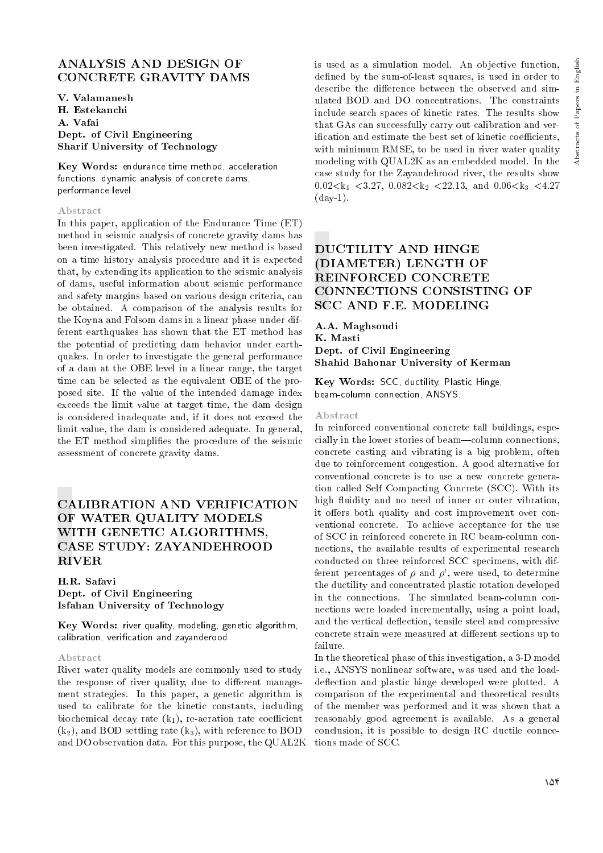# ANALYSIS AND DESIGN OF CONCRETE GRAVITY DAMS

V. Valamanesh H. Estekanchi A. Vafai Dept. of Civil Engineering Sharif University of Technology

Key Words: endurance time method, acceleration functions, dynamic analysis of concrete dams, performance level.

#### Abstract

In this paper, application of the Endurance Time (ET) method in seismic analysis of concrete gravity dams has been investigated. This relatively new method is based on a time history analysis procedure and it is expected that, by extending its application to the seismic analysis of dams, useful information about seismic performance and safety margins based on various design criteria, can be obtained. A comparison of the analysis results for the Koyna and Folsom dams in a linear phase under different earthquakes has shown that the ET method has the potential of predicting dam behavior under earthquakes. In order to investigate the general performance of a dam at the OBE level in a linear range, the target time can be selected as the equivalent OBE of the proposed site. If the value of the intended damage index exceeds the limit value at target time, the dam design is considered inadequate and, if it does not exceed the limit value, the dam is considered adequate. In general, the ET method simplifies the procedure of the seismic assessment of concrete gravity dams.

# CALIBRATION AND VERIFICATION OF WATER QUALITY MODELS WITH GENETIC ALGORITHMS, CASE STUDY: ZAYANDEHROOD RIVER

H.R. Safavi Dept. of Civil Engineering Isfahan University of Technology

Key Words: river quality, modeling, genetic algorithm, calibration, verication and zayanderood.

#### Abstract

River water quality models are commonly used to study the response of river quality, due to different management strategies. In this paper, a genetic algorithm is used to calibrate for the kinetic constants, including biochemical decay rate  $(k_1)$ , re-aeration rate coefficient  $(k_2)$ , and BOD settling rate  $(k_3)$ , with reference to BOD and DO observation data. For this purpose, the QUAL2K

is used as a simulation model. An objective function, defined by the sum-of-least squares, is used in order to describe the difference between the observed and simulated BOD and DO concentrations. The constraints include search spaces of kinetic rates. The results show that GAs can successfully carry out calibration and verification and estimate the best set of kinetic coefficients, with minimum RMSE, to be used in river water quality modeling with QUAL2K as an embedded model. In the case study for the Zayandehrood river, the results show 0.02 $\lt k_1$   $\lt 3.27$ , 0.082 $\lt k_2$   $\lt 22.13$ , and 0.06 $\lt k_3$   $\lt 4.27$  $\frac{\text{day-1}}{1}$ .

# DUCTILITY AND HINGE (DIAMETER) LENGTH OF REINFORCED CONCRETE CONNECTIONS CONSISTING OF SCC AND F.E. MODELING

A.A. Maghsoudi K. Masti Dept. of Civil Engineering Shahid Bahonar University of Kerman

Key Words: SCC, ductility, Plastic Hinge, beam-column connection, ANSYS.

#### Abstract

In reinforced conventional concrete tall buildings, especially in the lower stories of beam—column connections, concrete casting and vibrating is a big problem, often due to reinforcement congestion. A good alternative for conventional concrete is to use a new concrete generation called Self Compacting Concrete (SCC). With its high fluidity and no need of inner or outer vibration, it offers both quality and cost improvement over conventional concrete. To achieve acceptance for the use of SCC in reinforced concrete in RC beam-column connections, the available results of experimental research conducted on three reinforced SCC specimens, with different percentages of  $\rho$  and  $\rho',$  were used, to determine the ductility and concentrated plastic rotation developed in the connections. The simulated beam-column connections were loaded incrementally, using a point load, and the vertical deflection, tensile steel and compressive concrete strain were measured at different sections up to failure.

In the theoretical phase of this investigation, a 3-D model i.e., ANSYS nonlinear software, was used and the loaddeflection and plastic hinge developed were plotted. A comparison of the experimental and theoretical results of the member was performed and it was shown that a reasonably good agreement is available. As a general conclusion, it is possible to design RC ductile connections made of SCC.